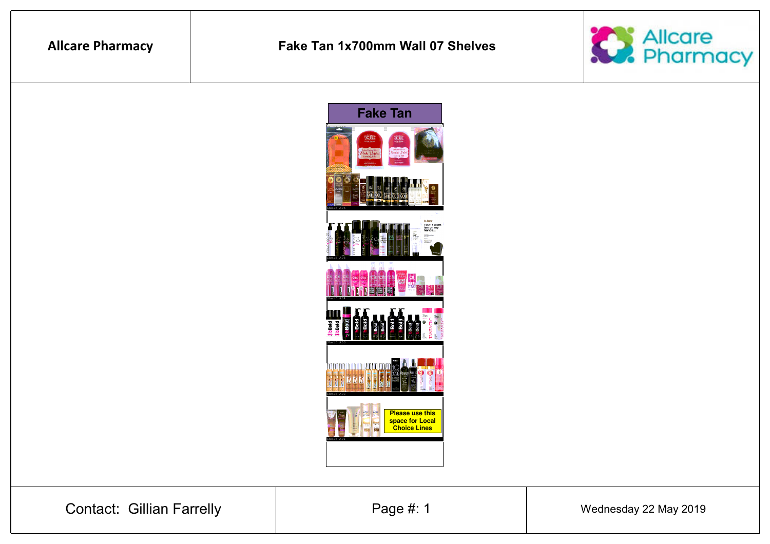# **Allcare Pharmacy**

### **Fake Tan 1x700mm Wall 07 Shelves**





Contact: Gillian Farrelly

Page #: 1 Mednesday 22 May 2019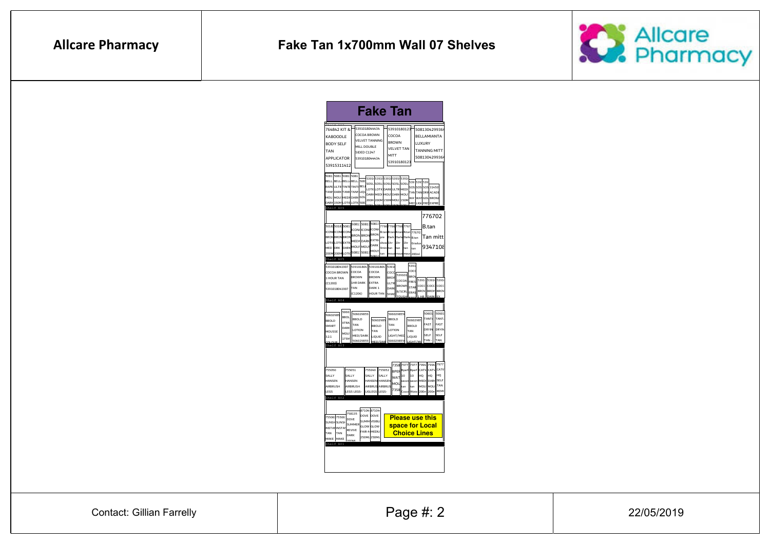

| <b>Fake Ta</b> ı                                                                                                                                                                                                                                            |       |
|-------------------------------------------------------------------------------------------------------------------------------------------------------------------------------------------------------------------------------------------------------------|-------|
|                                                                                                                                                                                                                                                             |       |
| 764842 KIT &<br>5391018044434<br>53910180123<br>5081304299364                                                                                                                                                                                               |       |
| COCOA BROWN<br>COCOA<br>BELLAMIANTA<br>KABOODLE                                                                                                                                                                                                             |       |
| VELVET TANNING<br><b>BROWN</b><br>LUXURY<br><b>BODY SELF</b>                                                                                                                                                                                                |       |
| MILL DOUBLE<br><b>VELVET TAN</b>                                                                                                                                                                                                                            |       |
| <b>TANNING MITT</b><br>TAN<br>SIDED C1247                                                                                                                                                                                                                   |       |
| MITT<br>5081304299364<br>APPLICATOR<br>5391018044434                                                                                                                                                                                                        |       |
| 53910180123<br>53915311412                                                                                                                                                                                                                                  |       |
|                                                                                                                                                                                                                                                             |       |
| 5081 5081 5081 5081<br>5391 5391 5391 5391 5391                                                                                                                                                                                                             |       |
| BELL BELL BELL BELL 508<br>539: 539: 539:<br>sosu sosu sosu sosu sosu                                                                                                                                                                                       |       |
| RAPIDULTR TINTE TINTE BEL<br>SOS SOS SOS 31450<br>LOTIC LOTIC DARK ULTR MEDI                                                                                                                                                                                |       |
| TANN DARK TANN TANN LIQU<br>TAN TAN DRIF ACADE<br>DARK MEDI MOU: DARK MOU:                                                                                                                                                                                  |       |
| MEDI DARK GOL<br>MOU<br>MOU:<br>WA <sup>-</sup> WA <sup>-</sup> GOL <sup>BRON2</sup><br>200M 200M 150M MOU: 150M                                                                                                                                            |       |
| DARK 150M LOTIC LOTIC 508<br>MED LIGH FRE EXPRE<br>Shelf A06                                                                                                                                                                                                |       |
|                                                                                                                                                                                                                                                             |       |
| 776702                                                                                                                                                                                                                                                      |       |
| 508135081 50813<br>5018 5018 5081                                                                                                                                                                                                                           |       |
| 7766 7766 7766 7767<br>B.tan<br><b>ICONI ICONI ICONI</b><br>B.tan B.tan B.tan<br>B.tan 776701                                                                                                                                                               |       |
| <b>ICON ICON ICON</b><br><b>BRON BRON BRON</b><br>Tan mitt<br><b>BRON BRON BRON</b><br>Dark Dark Dark B.tan<br>pre                                                                                                                                          |       |
| MEDI DARK EXTRA<br><b>LOTICLOTICEXTR</b><br>show 1hr<br>1 <sub>hr</sub> 1 <sub>hr</sub><br>Gradua                                                                                                                                                           |       |
| <b>DARK</b><br>MOUS MOU!<br>9347108<br>MED DRK DARK<br>9min tan<br>tan<br>Itan<br>tan                                                                                                                                                                       |       |
| MOUS<br>50813<br>50813<br>200M 200M LOTIO<br>tan<br>mous<br>mous<br>mous<br>200ml                                                                                                                                                                           |       |
| Shelf A05                                                                                                                                                                                                                                                   |       |
| 5391<br>5391018041907<br>539101804 539101804<br>5391                                                                                                                                                                                                        |       |
| coco<br>COCOA BROWN<br>COCOA<br>COCOA<br>cocc                                                                                                                                                                                                               |       |
| 539101<br><b>BROV</b><br><b>BROWN</b><br><b>BROWN</b><br><b>BROV</b><br>1 HOUR TAN                                                                                                                                                                          |       |
| 5391 5391 5391<br>COCOA<br>FRES<br>1HR DARK<br><b>FXTRA</b><br>ULTR<br>(C1200)<br>cocc<br>cocc<br><b>BROWN</b>                                                                                                                                              | lcocc |
| STAR<br>TAN<br>DARK <sub>1</sub><br>DARK<br>5391018041907<br><b>BROV</b><br><b>BROV</b><br><b>B/SCRL</b>                                                                                                                                                    | RROV  |
| FRAS<br>(C1206)<br><b>HOUR TAN</b><br>SHAD                                                                                                                                                                                                                  |       |
| Shelf A04                                                                                                                                                                                                                                                   |       |
|                                                                                                                                                                                                                                                             |       |
| tosot<br>50601<br>506029855<br>506029855                                                                                                                                                                                                                    | 50601 |
|                                                                                                                                                                                                                                                             |       |
| <b>BBOL</b><br><b>TANT/</b><br>BROLD<br>BROLD<br>50602985<br>50602985                                                                                                                                                                                       | TANT. |
| <b>XTRA</b><br>FAST<br>TAN<br>TAN<br><b>BBOLD</b><br><b>BBOLD</b>                                                                                                                                                                                           | FAST  |
| DARK<br>DRYIN<br>LOTION<br>LOTION<br>TAN<br>TAN                                                                                                                                                                                                             | DRYIN |
| MOU<br>SELF<br>MED/DARK<br>LIGHT/MED<br><b>LIOUID</b><br><b>LIOUD</b>                                                                                                                                                                                       | SEL E |
| 175N<br>TAN-<br>506029855<br>506029855<br>MCD                                                                                                                                                                                                               | TAN   |
|                                                                                                                                                                                                                                                             |       |
|                                                                                                                                                                                                                                                             |       |
|                                                                                                                                                                                                                                                             |       |
| 7994 7994 7977<br>7358 7977<br>7977                                                                                                                                                                                                                         |       |
| 755051<br>755049 755052<br><b>BPER</b> Bperf<br>Boerf<br>CATVICATV                                                                                                                                                                                          | CATV  |
| SALLY<br>SALLY<br>SALLY<br>HQ<br>HO.<br>10<br>10<br>WAT                                                                                                                                                                                                     | нo    |
| <b>DARK SELF</b><br>HANSEN<br>HANSEN<br><b>HANSEN</b><br>MEDI<br>secon<br>secon<br>MOL                                                                                                                                                                      |       |
| AIRBRUSH<br><b>AIRBRUS</b><br>AIRBRUS<br>MOU<br>MOLI<br>tan<br>tan<br>7358<br>I FGS-                                                                                                                                                                        | TAN   |
| LEGS LEGS-<br>LIGLEGS<br>200m REMO<br>Wate<br>200 <sub>π</sub><br>Cocon                                                                                                                                                                                     |       |
|                                                                                                                                                                                                                                                             |       |
|                                                                                                                                                                                                                                                             |       |
| 87104 87104<br>758135                                                                                                                                                                                                                                       |       |
| DOVE DOVE<br><b>Please use this</b><br>DOVE                                                                                                                                                                                                                 |       |
| <b>SUMM VISIBLI</b><br>SUMMER                                                                                                                                                                                                                               |       |
| space for Local<br>GLOW GLOW<br>REVIVE                                                                                                                                                                                                                      |       |
| FAIR-MMEDIU<br><b>Choice Lines</b><br>TAN<br>DARK                                                                                                                                                                                                           |       |
| 50602985<br><b>BROLD</b><br>SMART<br>MOUSSE<br>321<br>Shelf<br>755050<br>SALLY<br>HANSEN<br><b>AIRRRUSH</b><br><b>LEGS</b><br>Shelf AO.<br>75506: 75506<br>SUNSH SUNSH<br><b>INSTAN INSTAN</b><br>TAN<br><b>250ML</b><br>250ML<br>MAKE MAKE<br><b>200MI</b> |       |
| Shelf<br>A01                                                                                                                                                                                                                                                |       |
|                                                                                                                                                                                                                                                             |       |
|                                                                                                                                                                                                                                                             |       |
|                                                                                                                                                                                                                                                             |       |

Contact: Gillian Farrelly

Page #: 2

22/05/2019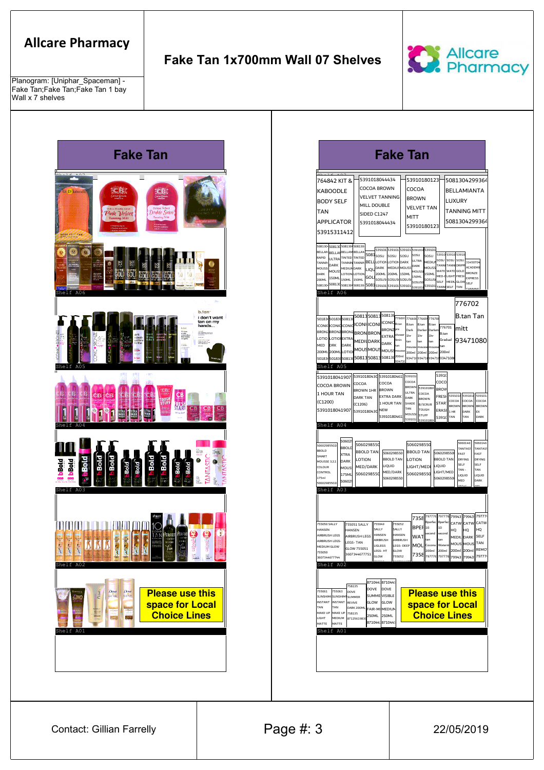## **Allcare Pharmacy**

Planogram: [Uniphar\_Spaceman] - Fake Tan;Fake Tan;Fake Tan 1 bay Wall x 7 shelves

### **Fake Tan 1x700mm Wall 07 Shelves**





| 764842 KIT &                                                            | 5391018044434                                                             | 53910180123                                                  | 5081304299364                                                                                      |
|-------------------------------------------------------------------------|---------------------------------------------------------------------------|--------------------------------------------------------------|----------------------------------------------------------------------------------------------------|
| <b>KABOODLE</b>                                                         | <b>COCOA BROWN</b>                                                        | COCOA                                                        | <b>BELLAMIANTA</b>                                                                                 |
| <b>BODY SELF</b>                                                        | <b>VELVET TANNING</b>                                                     | <b>BROWN</b>                                                 | LUXURY                                                                                             |
| TAN                                                                     | MILL DOUBLE<br>SIDED C1247                                                | <b>VELVET TAN</b>                                            | TANNING MITT                                                                                       |
| <b>APPLICATOR</b>                                                       | 5391018044434                                                             | <b>MITT</b>                                                  | 5081304299364                                                                                      |
| 53915311412                                                             |                                                                           | 53910180123                                                  |                                                                                                    |
|                                                                         |                                                                           |                                                              |                                                                                                    |
| 5081304<br>50813(508130 508130<br>BELLAI BELLAM BELLAN<br><b>BELLAN</b> |                                                                           | 539101 539101 539101 539101 539101                           |                                                                                                    |
| RAPID<br>ULTRA                                                          | $5081$ <sub>SOSU</sub><br>TINTED TINTED<br><b>BELL</b> LOTION LOTION DARK | sosu<br>SOSU<br>sosu<br>SOSU<br>ULTRA<br>MEDIUI              | 53910 53910<br>53910<br>sosu Isosu<br>SOSU<br>31450704                                             |
| TANNII<br>DARK<br>MEDIUN DARK<br><b>MOUSS</b><br>MOLIS'                 | TANNIN TANNIN<br>DARK<br>LIQ                                              | DARK<br>MOUSS<br><b>MEDIUMMOUSS</b><br><b>MOUSS</b>          | TANNI TANNI DRIPP<br>ACADEMI<br>WATE WATE GOLD                                                     |
| DARK<br>150ML<br>200ML<br>150ML                                         | 200ML<br>ι οτιονει οτιον<br>GOL<br>SOSU5<br>150ML                         | 200ML 150ML<br><b>150ML</b><br>150ML<br>SOSU5 SOSU5<br>SOSUS | <b>BRONZE</b><br>MED-I LIGHT FRESH<br><b>EXPRESS</b>                                               |
| 508130<br>508130<br>508130                                              | 5081<br>508130<br>539101                                                  | sosuso<br>539101<br>539101<br>539101<br>5391018              | SELE.<br>MEDILIGLOW<br>SELF<br>TANN SELF<br>TAN                                                    |
| Shelf A06                                                               |                                                                           |                                                              |                                                                                                    |
|                                                                         |                                                                           |                                                              | 776702                                                                                             |
|                                                                         | 5081350813                                                                | 50813 776697<br>77669 77669 77670                            | <b>B.tan Tan</b>                                                                                   |
| 50183 50183 50813<br>ICONIC ICONIC ICONIC ICONICONI                     |                                                                           | ICONIC B.tan<br>B.tan<br>R <sub>tan</sub><br>B.tan           | 776701                                                                                             |
| BRONZ BRONZ<br><b>BRONZ</b>                                             | <b>BRONZ</b> pre<br><b>BRON BRON</b><br><b>EXTRA</b>                      | Dark<br>Darker<br>Darket<br>showe<br>1hr<br>1hr<br>1hr       | mitt<br>B.tan                                                                                      |
| LOTIO LOTIO EXTRA<br><b>DRK</b><br>DARK<br>MED                          | MEDIUDARK<br><b>DARK</b>                                                  | 9 <sub>min</sub><br>tan<br>tan<br>tan<br>tan                 | Gradual<br>93471080<br>tan                                                                         |
| 200ML200MLLOTIO                                                         | MOUS MOUS<br>MOUS:                                                        | moussel moussel mousse<br>mouss<br>200ml 200ml 200ml 200ml   |                                                                                                    |
| 50183 50183 508130                                                      | 5081350813<br>508130                                                      | 200ml<br>93471 93471 93471 9347108<br>13471                  |                                                                                                    |
| Shelf A05                                                               |                                                                           |                                                              |                                                                                                    |
|                                                                         | 5391018041907 5391018043d 53910180461<br>COCOA<br>COCOA                   | 539101<br>COCOA                                              | 53910<br>COCO                                                                                      |
| COCOA BROWN<br>1 HOUR TAN                                               | <b>BROWN</b><br><b>BROWN 1HR</b>                                          | <b>BROWN</b><br>539101804<br>ULTRA<br>COCOA                  | <b>BROV</b>                                                                                        |
| (C1200)                                                                 | <b>EXTRA DARK</b><br><b>DARK TAN</b>                                      | <b>DARK</b><br><b>BROWN</b><br>SHADE                         | 5391014<br>5391018<br>539101<br><b>FRESH</b><br>COCOA<br>COCOA<br>COCOA                            |
| 5391018041907                                                           | 1 HOUR TAN<br>(C1206)<br>NEW<br>53910180430                               | <b>B/SCRUB</b><br>TAN<br>TOUGH                               | STAR <sup>®</sup><br><b>BROWN</b><br><b>RROWN</b><br><b>BROWN</b><br>ERASI<br>$1$ HR<br>DARK<br>EX |
|                                                                         |                                                                           | MOUSS<br>STUFF<br>53910180461<br>3910                        | 53910<br>TAN<br>TAN<br>DARK                                                                        |
| Shelf A04                                                               |                                                                           |                                                              |                                                                                                    |
| 50602                                                                   |                                                                           |                                                              |                                                                                                    |
| 50602985502<br><b>BBOLD</b><br><b>BBOLD</b>                             | 5060298550                                                                | 5060298550                                                   | 5060146<br>5060146<br><b>TANTAS</b><br>TANTAS <sup>-</sup>                                         |
| <b>XTRA</b><br>SMART                                                    | <b>BBOLD TAN</b><br>LOTION                                                | <b>BBOLD TAN</b><br>5060298550<br><b>BBOLD TAN</b><br>LOTION | 5060298550<br>FAST<br>FAST<br><b>BBOLD TAN</b><br><b>DRYING</b><br>DRYING                          |
| DARK<br><b>MOUSSE 3.2.1</b><br>COLOUR<br>MOUS                           | LIQUID<br>MED/DARK                                                        | LIGHT/MED                                                    | SELF<br>SELF<br>LIOUID<br>TAN-<br>TAN                                                              |
| CONTROL<br>175ML<br>175ml                                               | 5060298550                                                                | MED/DARK<br>5060298550<br>5060298550                         | LIGHT/MED<br>LIOUID<br>LIOUID<br>5060298550                                                        |
| 50602<br>50602985502                                                    |                                                                           |                                                              | <b>MFD</b><br>DARK                                                                                 |
| Shelf A03                                                               |                                                                           |                                                              |                                                                                                    |
|                                                                         |                                                                           |                                                              |                                                                                                    |
|                                                                         |                                                                           | 797776 797776                                                | 79943 79943 79777                                                                                  |
| 755050 SALLY                                                            | 755049<br>755051 SALLY                                                    | 7358<br><b>Bperfec</b> Bperfec<br>755052                     | CATW CATW<br>CATW                                                                                  |
| HANSEN<br>AIRBRUSH LEGS                                                 | SALLY<br><b>HANSEN</b><br>HANSEN<br>AIRBRUSH LEGS                         | BPEF 10<br>10<br>SALLY<br>second second<br>HANSEN            | HQ<br>HQ.<br>HQ                                                                                    |
| AIRBRUSH LEGS-                                                          | AIRBRUSH<br>LEGS-TAN                                                      | WAT<br>AIRBRUSH<br>tan<br>Coconu Waterm                      | MEDIL DARK SELF<br>tan<br>TAN<br>MOUS MOUS                                                         |
| MEDIUM GLOW<br>755050                                                   | LIGLEGS<br>GLOW 755051<br>LEGS-HT                                         | LEGS-DEEP<br>MOL.<br>GLOW                                    | 200ml 200ml 200ml 200ml REMO'                                                                      |
| 3607344677744                                                           | 3607344677751   GLOW                                                      | 755052                                                       | 7358   <sub>797776</sub>    <sub>797776</sub>    <sub>79943</sub>   79943  79777                   |
| Shelf A02                                                               |                                                                           |                                                              |                                                                                                    |
|                                                                         |                                                                           |                                                              |                                                                                                    |
|                                                                         | 87104478710447<br>758135<br>DOVE<br>DOVE                                  |                                                              |                                                                                                    |
| 755061<br>755063<br>DOVE<br>SUNSHIMI SUNSHIMI SUMMER                    | SUMME VISIBLE                                                             |                                                              | <b>Please use this</b>                                                                             |
|                                                                         | GLOW<br>GLOW<br><b>REVIVE</b><br>DARK 200ML                               |                                                              | space for Local                                                                                    |
| INSTANT INSTANT<br>TAN<br>TAN                                           | FAIR-MI MEDIUN<br>250ML 250ML                                             |                                                              | <b>Choice Lines</b>                                                                                |
| MAKE UP MAKE UP 758135                                                  | 8712561983                                                                |                                                              |                                                                                                    |
| LIGHT<br>MEDIUM<br>MATTE<br>MATTE                                       | 8710447871044                                                             |                                                              |                                                                                                    |
| Shelf A01                                                               |                                                                           |                                                              |                                                                                                    |
|                                                                         |                                                                           |                                                              |                                                                                                    |

Contact: Gillian Farrelly **Page #: 3** 22/05/2019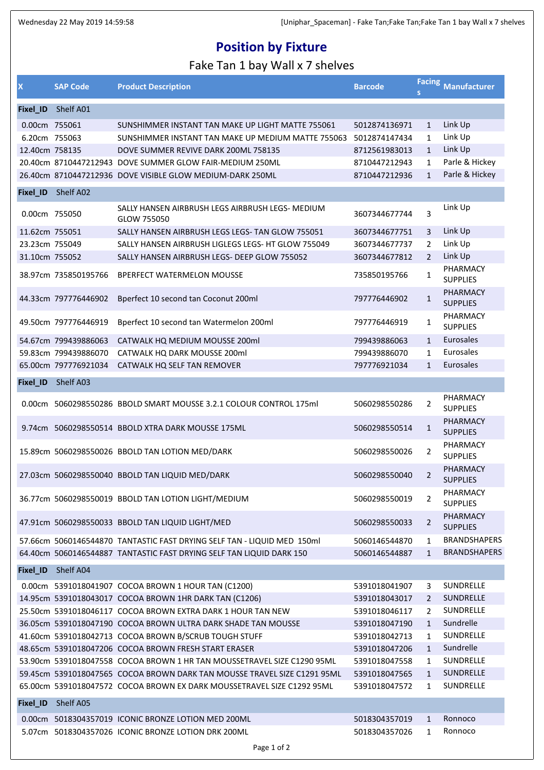### **Position by Fixture**

#### Fake Tan 1 bay Wall x 7 shelves

| X              | <b>SAP Code</b>      | <b>Product Description</b>                                               | <b>Barcode</b> |                | Facing Manufacturer                |
|----------------|----------------------|--------------------------------------------------------------------------|----------------|----------------|------------------------------------|
| Fixel_ID       | Shelf A01            |                                                                          |                |                |                                    |
| 0.00cm 755061  |                      | SUNSHIMMER INSTANT TAN MAKE UP LIGHT MATTE 755061                        | 5012874136971  | $\mathbf{1}$   | Link Up                            |
| 6.20cm 755063  |                      | SUNSHIMMER INSTANT TAN MAKE UP MEDIUM MATTE 755063 5012874147434         |                | $\mathbf{1}$   | Link Up                            |
| 12.40cm 758135 |                      | DOVE SUMMER REVIVE DARK 200ML 758135                                     | 8712561983013  | $\mathbf{1}$   | Link Up                            |
|                |                      | 20.40cm 8710447212943 DOVE SUMMER GLOW FAIR-MEDIUM 250ML                 | 8710447212943  | $\mathbf{1}$   | Parle & Hickey                     |
|                |                      | 26.40cm 8710447212936 DOVE VISIBLE GLOW MEDIUM-DARK 250ML                | 8710447212936  | $\mathbf{1}$   | Parle & Hickey                     |
| Fixel_ID       | Shelf A02            |                                                                          |                |                |                                    |
| 0.00cm 755050  |                      | SALLY HANSEN AIRBRUSH LEGS AIRBRUSH LEGS- MEDIUM<br>GLOW 755050          | 3607344677744  | 3              | Link Up                            |
| 11.62cm 755051 |                      | SALLY HANSEN AIRBRUSH LEGS LEGS- TAN GLOW 755051                         | 3607344677751  | 3              | Link Up                            |
| 23.23cm 755049 |                      | SALLY HANSEN AIRBRUSH LIGLEGS LEGS- HT GLOW 755049                       | 3607344677737  | $\overline{2}$ | Link Up                            |
| 31.10cm 755052 |                      | SALLY HANSEN AIRBRUSH LEGS- DEEP GLOW 755052                             | 3607344677812  | $\overline{2}$ | Link Up                            |
|                | 38.97cm 735850195766 | <b>BPERFECT WATERMELON MOUSSE</b>                                        | 735850195766   | 1              | PHARMACY<br><b>SUPPLIES</b>        |
|                | 44.33cm 797776446902 | Bperfect 10 second tan Coconut 200ml                                     | 797776446902   | $\mathbf{1}$   | PHARMACY<br><b>SUPPLIES</b>        |
|                | 49.50cm 797776446919 | Bperfect 10 second tan Watermelon 200ml                                  | 797776446919   | 1              | PHARMACY<br><b>SUPPLIES</b>        |
|                | 54.67cm 799439886063 | CATWALK HQ MEDIUM MOUSSE 200ml                                           | 799439886063   | $\mathbf{1}$   | Eurosales                          |
|                | 59.83cm 799439886070 | CATWALK HQ DARK MOUSSE 200ml                                             | 799439886070   | $\mathbf{1}$   | Eurosales                          |
|                | 65.00cm 797776921034 | CATWALK HQ SELF TAN REMOVER                                              | 797776921034   | $\mathbf{1}$   | Eurosales                          |
| Fixel_ID       | Shelf A03            |                                                                          |                |                |                                    |
|                |                      | 0.00cm 5060298550286 BBOLD SMART MOUSSE 3.2.1 COLOUR CONTROL 175ml       | 5060298550286  | $\overline{2}$ | <b>PHARMACY</b><br><b>SUPPLIES</b> |
|                |                      | 9.74cm 5060298550514 BBOLD XTRA DARK MOUSSE 175ML                        | 5060298550514  | $\mathbf{1}$   | PHARMACY<br><b>SUPPLIES</b>        |
|                |                      | 15.89cm 5060298550026 BBOLD TAN LOTION MED/DARK                          | 5060298550026  | $\overline{2}$ | <b>PHARMACY</b><br><b>SUPPLIES</b> |
|                |                      | 27.03cm 5060298550040 BBOLD TAN LIQUID MED/DARK                          | 5060298550040  | $\overline{2}$ | <b>PHARMACY</b><br><b>SUPPLIES</b> |
|                |                      | 36.77cm 5060298550019 BBOLD TAN LOTION LIGHT/MEDIUM                      | 5060298550019  | 2              | PHARMACY<br><b>SUPPLIES</b>        |
|                |                      | 47.91cm 5060298550033 BBOLD TAN LIQUID LIGHT/MED                         | 5060298550033  | 2              | PHARMACY<br><b>SUPPLIES</b>        |
|                |                      | 57.66cm 5060146544870 TANTASTIC FAST DRYING SELF TAN - LIQUID MED 150ml  | 5060146544870  | 1              | <b>BRANDSHAPERS</b>                |
|                |                      | 64.40cm 5060146544887 TANTASTIC FAST DRYING SELF TAN LIQUID DARK 150     | 5060146544887  | $\mathbf{1}$   | <b>BRANDSHAPERS</b>                |
| Fixel_ID       | Shelf A04            |                                                                          |                |                |                                    |
|                |                      | 0.00cm 5391018041907 COCOA BROWN 1 HOUR TAN (C1200)                      | 5391018041907  | 3              | <b>SUNDRELLE</b>                   |
|                |                      | 14.95cm 5391018043017 COCOA BROWN 1HR DARK TAN (C1206)                   | 5391018043017  | 2              | <b>SUNDRELLE</b>                   |
|                |                      | 25.50cm 5391018046117 COCOA BROWN EXTRA DARK 1 HOUR TAN NEW              | 5391018046117  | $\overline{2}$ | SUNDRELLE                          |
|                |                      | 36.05cm 5391018047190 COCOA BROWN ULTRA DARK SHADE TAN MOUSSE            | 5391018047190  | $\mathbf{1}$   | Sundrelle                          |
|                |                      | 41.60cm 5391018042713 COCOA BROWN B/SCRUB TOUGH STUFF                    | 5391018042713  | 1              | SUNDRELLE                          |
|                |                      | 48.65cm 5391018047206 COCOA BROWN FRESH START ERASER                     | 5391018047206  | $\mathbf{1}$   | Sundrelle                          |
|                |                      | 53.90cm 5391018047558 COCOA BROWN 1 HR TAN MOUSSETRAVEL SIZE C1290 95ML  | 5391018047558  | 1              | SUNDRELLE                          |
|                |                      | 59.45cm 5391018047565 COCOA BROWN DARK TAN MOUSSE TRAVEL SIZE C1291 95ML | 5391018047565  | $\mathbf{1}$   | <b>SUNDRELLE</b>                   |
|                |                      | 65.00cm 5391018047572 COCOA BROWN EX DARK MOUSSETRAVEL SIZE C1292 95ML   | 5391018047572  | 1              | SUNDRELLE                          |
| Fixel_ID       | Shelf A05            |                                                                          |                |                |                                    |
|                |                      | 0.00cm 5018304357019 ICONIC BRONZE LOTION MED 200ML                      | 5018304357019  | $\mathbf{1}$   | Ronnoco                            |
|                |                      | 5.07cm 5018304357026 ICONIC BRONZE LOTION DRK 200ML                      | 5018304357026  | 1              | Ronnoco                            |